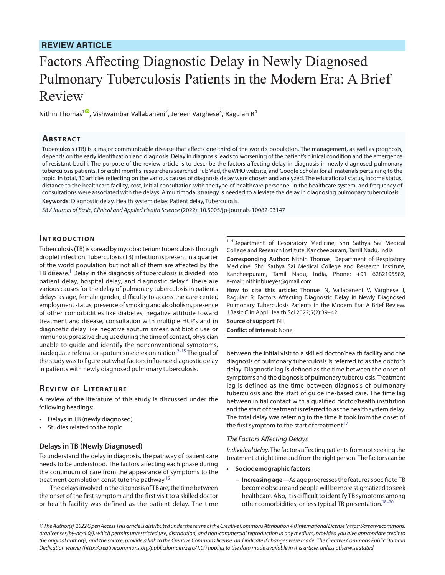## **REVIEW ARTICLE**

# Factors Affecting Diagnostic Delay in Newly Diagnosed Pulmonary Tuberculosis Patients in the Modern Era: A Brief Review

Nithin Thomas<sup>[1](https://orcid.org/0000-0002-8347-9509)0</sup>, Vishwambar Vallabaneni<sup>2</sup>, Jereen Varghese<sup>3</sup>, Ragulan R<sup>4</sup>

## **Ab s t rac t**

Tuberculosis (TB) is a major communicable disease that affects one-third of the world's population. The management, as well as prognosis, depends on the early identification and diagnosis. Delay in diagnosis leads to worsening of the patient's clinical condition and the emergence of resistant bacilli. The purpose of the review article is to describe the factors affecting delay in diagnosis in newly diagnosed pulmonary tuberculosis patients. For eight months, researchers searched PubMed, the WHO website, and Google Scholar for all materials pertaining to the topic. In total, 30 articles reflecting on the various causes of diagnosis delay were chosen and analyzed. The educational status, income status, distance to the healthcare facility, cost, initial consultation with the type of healthcare personnel in the healthcare system, and frequency of consultations were associated with the delays. A multimodal strategy is needed to alleviate the delay in diagnosing pulmonary tuberculosis. **Keywords:** Diagnostic delay, Health system delay, Patient delay, Tuberculosis.

*SBV Journal of Basic, Clinical and Applied Health Science* (2022): 10.5005/jp-journals-10082-03147

### **INTRODUCTION**

Tuberculosis (TB) is spread by mycobacterium tuberculosis through droplet infection. Tuberculosis (TB) infection is present in a quarter of the world population but not all of them are affected by the TB disease.<sup>1</sup> Delay in the diagnosis of tuberculosis is divided into patient delay, hospital delay, and diagnostic delay.<sup>[2](#page-2-0)</sup> There are various causes for the delay of pulmonary tuberculosis in patients delays as age, female gender, difficulty to access the care center, employment status, presence of smoking and alcoholism, presence of other comorbidities like diabetes, negative attitude toward treatment and disease, consultation with multiple HCP's and in diagnostic delay like negative sputum smear, antibiotic use or immunosuppressive drug use during the time of contact, physician unable to guide and identify the nonconventional symptoms, inadequate referral or sputum smear examination. $2-15$  The goal of the study was to figure out what factors influence diagnostic delay in patients with newly diagnosed pulmonary tuberculosis.

## **REVIEW OF LITERATURE**

A review of the literature of this study is discussed under the following headings:

- Delays in TB (newly diagnosed)
- Studies related to the topic

#### **Delays in TB (Newly Diagnosed)**

To understand the delay in diagnosis, the pathway of patient care needs to be understood. The factors affecting each phase during the continuum of care from the appearance of symptoms to the treatment completion constitute the pathway.<sup>16</sup>

The delays involved in the diagnosis of TB are, the time between the onset of the first symptom and the first visit to a skilled doctor or health facility was defined as the patient delay. The time

1-4Department of Respiratory Medicine, Shri Sathya Sai Medical College and Research Institute, Kancheepuram, Tamil Nadu, India

**Corresponding Author:** Nithin Thomas, Department of Respiratory Medicine, Shri Sathya Sai Medical College and Research Institute, Kancheepuram, Tamil Nadu, India, Phone: +91 6282195582, e-mail: nithinblueyes@gmail.com

**How to cite this article:** Thomas N, Vallabaneni V, Varghese J, Ragulan R. Factors Affecting Diagnostic Delay in Newly Diagnosed Pulmonary Tuberculosis Patients in the Modern Era: A Brief Review. J Basic Clin Appl Health Sci 2022;5(2):39–42.

**Source of support:** Nil **Conflict of interest:** None

between the initial visit to a skilled doctor/health facility and the diagnosis of pulmonary tuberculosis is referred to as the doctor's delay. Diagnostic lag is defined as the time between the onset of symptoms and the diagnosis of pulmonary tuberculosis. Treatment lag is defined as the time between diagnosis of pulmonary tuberculosis and the start of guideline-based care. The time lag between initial contact with a qualified doctor/health institution and the start of treatment is referred to as the health system delay. The total delay was referring to the time it took from the onset of the first symptom to the start of treatment.<sup>17</sup>

#### *The Factors Affecting Delays*

*Individual delay:* The factors affecting patients from not seeking the treatment at right time and from the right person. The factors can be

- **Sociodemographic factors**
	- **Increasing age**—As age progresses the features specific to TB become obscure and people will be more stigmatized to seek healthcare. Also, it is difficult to identify TB symptoms among other comorbidities, or less typical TB presentation.<sup>18[–20](#page-2-5)</sup>

*<sup>©</sup> The Author(s). 2022 Open Access This article is distributed under the terms of the Creative Commons Attribution 4.0 International License ([https://creativecommons.](https://creativecommons.org/licenses/by-nc/4.0/) [org/licenses/by-nc/4.0/](https://creativecommons.org/licenses/by-nc/4.0/)), which permits unrestricted use, distribution, and non-commercial reproduction in any medium, provided you give appropriate credit to the original author(s) and the source, provide a link to the Creative Commons license, and indicate if changes were made. The Creative Commons Public Domain Dedication waiver ([http://creativecommons.org/publicdomain/zero/1.0/\)](http://creativecommons.org/publicdomain/zero/1.0/) applies to the data made available in this article, unless otherwise stated.*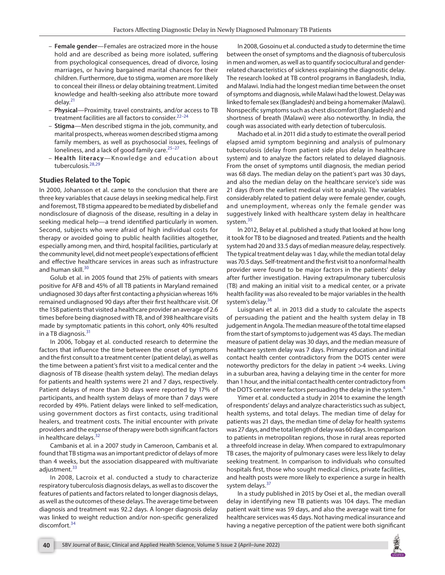- **Female gender**—Females are ostracized more in the house hold and are described as being more isolated, suffering from psychological consequences, dread of divorce, losing marriages, or having bargained marital chances for their children. Furthermore, due to stigma, women are more likely to conceal their illness or delay obtaining treatment. Limited knowledge and health-seeking also attribute more toward delay.[21](#page-2-6)
- **Physical**—Proximity, travel constraints, and/or access to TB treatment facilities are all factors to consider.<sup>22-[24](#page-3-0)</sup>
- **Stigma**—Men described stigma in the job, community, and marital prospects, whereas women described stigma among family members, as well as psychosocial issues, feelings of loneliness, and a lack of good family care. $25-27$  $25-27$
- **Health literacy**—Knowledge and education about tuberculosis.<sup>[28](#page-3-3)[,29](#page-3-4)</sup>

#### **Studies Related to the Topic**

In 2000, Johansson et al. came to the conclusion that there are three key variables that cause delays in seeking medical help. First and foremost, TB stigma appeared to be mediated by disbelief and nondisclosure of diagnosis of the disease, resulting in a delay in seeking medical help—a trend identified particularly in women. Second, subjects who were afraid of high individual costs for therapy or avoided going to public health facilities altogether, especially among men, and third, hospital facilities, particularly at the community level, did not meet people's expectations of efficient and effective healthcare services in areas such as infrastructure and human skill.<sup>[30](#page-3-5)</sup>

Golub et al. in 2005 found that 25% of patients with smears positive for AFB and 45% of all TB patients in Maryland remained undiagnosed 30 days after first contacting a physician whereas 16% remained undiagnosed 90 days after their first healthcare visit. Of the 158 patients that visited a healthcare provider an average of 2.6 times before being diagnosed with TB, and of 398 healthcare visits made by symptomatic patients in this cohort, only 40% resulted in a TB diagnosis. $31$ 

In 2006, Tobgay et al. conducted research to determine the factors that influence the time between the onset of symptoms and the first consult to a treatment center (patient delay), as well as the time between a patient's first visit to a medical center and the diagnosis of TB disease (health system delay). The median delays for patients and health systems were 21 and 7 days, respectively. Patient delays of more than 30 days were reported by 17% of participants, and health system delays of more than 7 days were recorded by 49%. Patient delays were linked to self-medication, using government doctors as first contacts, using traditional healers, and treatment costs. The initial encounter with private providers and the expense of therapy were both significant factors in healthcare delays. $32$ 

Cambanis et al. in a 2007 study in Cameroon, Cambanis et al. found that TB stigma was an important predictor of delays of more than 4 weeks, but the association disappeared with multivariate adjustment.<sup>[33](#page-3-8)</sup>

In 2008, Lacroix et al. conducted a study to characterize respiratory tuberculosis diagnosis delays, as well as to discover the features of patients and factors related to longer diagnosis delays, as well as the outcomes of these delays. The average time between diagnosis and treatment was 92.2 days. A longer diagnosis delay was linked to weight reduction and/or non-specific generalized discomfort.[34](#page-3-9)

In 2008, Gosoinu et al. conducted a study to determine the time between the onset of symptoms and the diagnosis of tuberculosis in men and women, as well as to quantify sociocultural and genderrelated characteristics of sickness explaining the diagnostic delay. The research looked at TB control programs in Bangladesh, India, and Malawi. India had the longest median time between the onset of symptoms and diagnosis, while Malawi had the lowest. Delay was linked to female sex (Bangladesh) and being a homemaker (Malawi). Nonspecific symptoms such as chest discomfort (Bangladesh) and shortness of breath (Malawi) were also noteworthy. In India, the cough was associated with early detection of tuberculosis.

Machado et al. in 2011 did a study to estimate the overall period elapsed amid symptom beginning and analysis of pulmonary tuberculosis (delay from patient side plus delay in healthcare system) and to analyze the factors related to delayed diagnosis. From the onset of symptoms until diagnosis, the median period was 68 days. The median delay on the patient's part was 30 days, and also the median delay on the healthcare service's side was 21 days (from the earliest medical visit to analysis). The variables considerably related to patient delay were female gender, cough, and unemployment, whereas only the female gender was suggestively linked with healthcare system delay in healthcare system.<sup>[35](#page-3-10)</sup>

In 2012, Belay et al. published a study that looked at how long it took for TB to be diagnosed and treated. Patients and the health system had 20 and 33.5 days of median measure delay, respectively. The typical treatment delay was 1 day, while the median total delay was 70.5 days. Self-treatment and the first visit to a nonformal health provider were found to be major factors in the patients' delay after further investigation. Having extrapulmonary tuberculosis (TB) and making an initial visit to a medical center, or a private health facility was also revealed to be major variables in the health system's delay.<sup>[36](#page-3-11)</sup>

Luisgnani et al. in 2013 did a study to calculate the aspects of persuading the patient and the health system delay in TB judgement in Angola. The median measure of the total time elapsed from the start of symptoms to judgement was 45 days. The median measure of patient delay was 30 days, and the median measure of healthcare system delay was 7 days. Primary education and initial contact health center contradictory from the DOTS center were noteworthy predictors for the delay in patient >4 weeks. Living in a suburban area, having a delaying time in the center for more than 1 hour, and the initial contact health center contradictory from the DOTS center were factors persuading the delay in the system.<sup>[4](#page-2-8)</sup>

Yimer et al. conducted a study in 2014 to examine the length of respondents' delays and analyze characteristics such as subject, health systems, and total delays. The median time of delay for patients was 21 days, the median time of delay for health systems was 27 days, and the total length of delay was 60 days. In comparison to patients in metropolitan regions, those in rural areas reported a threefold increase in delay. When compared to extrapulmonary TB cases, the majority of pulmonary cases were less likely to delay seeking treatment. In comparison to individuals who consulted hospitals first, those who sought medical clinics, private facilities, and health posts were more likely to experience a surge in health system delays.<sup>[37](#page-3-12)</sup>

In a study published in 2015 by Osei et al., the median overall delay in identifying new TB patients was 104 days. The median patient wait time was 59 days, and also the average wait time for healthcare services was 45 days. Not having medical insurance and having a negative perception of the patient were both significant

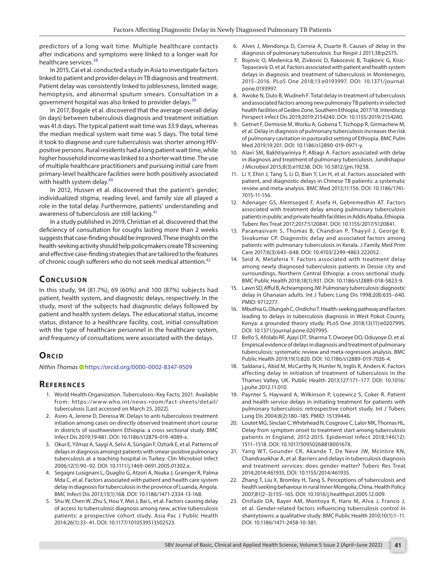predictors of a long wait time. Multiple healthcare contacts after indications and symptoms were linked to a longer wait for healthcare services.<sup>[38](#page-3-13)</sup>

In 2015, Cai et al. conducted a study in Asia to investigate factors linked to patient and provider delays in TB diagnosis and treatment. Patient delay was consistently linked to joblessness, limited wage, hemoptysis, and abnormal sputum smears. Consultation in a government hospital was also linked to provider delays.<sup>[39](#page-3-14)</sup>

In 2017, Bogale et al. discovered that the average overall delay (in days) between tuberculosis diagnosis and treatment initiation was 41.6 days. The typical patient wait time was 33.9 days, whereas the median medical system wait time was 5 days. The total time it took to diagnose and cure tuberculosis was shorter among HIVpositive persons. Rural residents had a long patient wait time, while higher household income was linked to a shorter wait time. The use of multiple healthcare practitioners and pursuing initial care from primary-level healthcare facilities were both positively associated with health system delay.<sup>[40](#page-3-15)</sup>

In 2012, Hussen et al. discovered that the patient's gender, individualized stigma, reading level, and family size all played a role in the total delay. Furthermore, patients' understanding and awareness of tuberculosis are still lacking.<sup>[41](#page-3-16)</sup>

In a study published in 2019, Christian et al. discovered that the deficiency of consultation for coughs lasting more than 2 weeks suggests that case-finding should be improved. These insights on the health-seeking activity should help policymakers create TB screening and effective case-finding strategies that are tailored to the features of chronic cough sufferers who do not seek medical attention.<sup>[42](#page-3-17)</sup>

## **CONCLUSION**

In this study, 94 (81.7%), 69 (60%) and 100 (87%) subjects had patient, health system, and diagnostic delays, respectively. In the study, most of the subjects had diagnostic delays followed by patient and health system delays. The educational status, income status, distance to a healthcare facility, cost, initial consultation with the type of healthcare personnel in the healthcare system, and frequency of consultations were associated with the delays.

## **ORCID**

*Nithin Thoma[s](https://orcid.org/0000-0002-8347-9509)* https://orcid.org/0000-0002-8347-9509

## **Re f e r e n c e s**

- 1. World Health Organization. Tuberculosis–Key Facts; 2021. Available from: https://www.who.int/news-room/fact-sheets/detail/ tuberculosis [Last accessed on March 25, 2022].
- <span id="page-2-0"></span>2. Asres A, Jerene D, Deressa W. Delays to anti-tuberculosis treatment intiation among cases on directly observed treatment short course in districts of southwestern Ethiopia: a cross sectional study. BMC Infect Dis 2019;19:481. DOI: 10.1186/s12879-019-4089-x.
- 3. Okur E, Yilmaz A, Saygi A, Selvi A, Süngün F, Oztürk E, et al. Patterns of delays in diagnosis amongst patients with smear-positive pulmonary tuberculosis at a teaching hospital in Turkey. Clin Microbiol Infect 2006;12(1):90–92. DOI: 10.1111/j.1469-0691.2005.01302.x.
- <span id="page-2-8"></span>4. Segagni Lusignani L, Quaglio G, Atzori A, Nsuka J, Grainger R, Palma Mda C, et al. Factors associated with patient and health care system delay in diagnosis for tuberculosis in the province of Luanda, Angola. BMC Infect Dis 2013;13(1):168. DOI: 10.1186/1471-2334-13-168.
- 5. Shu W, Chen W, Zhu S, Hou Y, Mei J, Bai L, et al. Factors causing delay of access to tuberculosis diagnosis among new, active tuberculosis patients: a prospective cohort study. Asia Pac J Public Health 2014;26(1):33–41. DOI: 10.1177/1010539513502523.
- 6. Alves J, Mendonça D, Correia A, Duarte R. Causes of delay in the diagnosis of pulmonary tuberculosis. Eur Respir J 2011;38:p2575.
- 7. Bojovic O, Medenica M, Zivkovic D, Rakocevic B, Trajkovic G, Kisic-Tepavcevic D, et al. Factors associated with patient and health system delays in diagnosis and treatment of tuberculosis in Montenegro, 2015–2016. PLoS One 2018;13:e0193997. DOI: 10.1371/journal. pone.0193997.
- 8. Awoke N, Dulo B, Wudneh F. Total delay in treatment of tuberculosis and associated factors among new pulmonary TB patients in selected health facilities of Gedeo Zone, Southern Ethiopia, 2017/18. Interdiscip Perspect Infect Dis 2019;2019:2154240. DOI: 10.1155/2019/2154240.
- 9. Getnet F, Demissie M, Worku A, Gobena T, Tschopp R, Girmachew M, et al. Delay in diagnosis of pulmonary tuberculosis increases the risk of pulmonary cavitation in pastoralist setting of Ethiopia. BMC Pulm Med 2019;19:201. DOI: 10.1186/s12890-019-0971-y.
- 10. Alavi SM, Bakhtiyariniya P, Albagi A. Factors associated with delay in diagnosis and treatment of pulmonary tuberculosis. Jundishapur J Microbiol 2015;8(3):e19238. DOI: 10.5812/jjm.19238.
- 11. Li Y, Ehiri J, Tang S, Li D, Bian Y, Lin H, et al. Factors associated with patient, and diagnostic delays in Chinese TB patients: a systematic review and meta-analysis. BMC Med 2013;11:156. DOI: 10.1186/1741- 7015-11-156.
- 12. Adenager GS, Alemseged F, Asefa H, Gebremedhin AT. Factors associated with treatment delay among pulmonary tuberculosis patients in public and private health facilities in Addis Ababa, Ethiopia. Tuberc Res Treat 2017;2017:5120841. DOI: 10.1155/2017/5120841.
- 13. Paramasivam S, Thomas B, Chandran P, Thayyil J, George B, Sivakumar CP. Diagnostic delay and associated factors among patients with pulmonary tuberculosis in Kerala. J Family Med Prim Care 2017;6(3):643–648. DOI: 10.4103/2249-4863.222052.
- 14. Seid A, Metaferia Y. Factors associated with treatment delay among newly diagnosed tuberculosis patients in Dessie city and surroundings, Northern Central Ethiopia: a cross-sectional study. BMC Public Health 2018;18(1):931. DOI: 10.1186/s12889-018-5823-9.
- <span id="page-2-1"></span>15. Lawn SD, Afful B, Acheampong JW. Pulmonary tuberculosis: diagnostic delay in Ghanaian adults. Int J Tuberc Lung Dis 1998;2(8):635–640. PMID: 9712277.
- <span id="page-2-2"></span>16. Mbuthia G, Olungah C, Ondicho T. Health-seeking pathway and factors leading to delays in tuberculosis diagnosis in West Pokot County, Kenya: a grounded theory study. PLoS One 2018;13(11):e0207995. DOI: 10.1371/journal.pone.0207995.
- <span id="page-2-3"></span>17. Bello S, Afolabi RF, Ajayi DT, Sharma T, Owoeye DO, Oduyoye O, et al. Empirical evidence of delays in diagnosis and treatment of pulmonary tuberculosis: systematic review and meta-regression analysis. BMC Public Health 2019;19(1):820. DOI: 10.1186/s12889-019-7026-4.
- <span id="page-2-4"></span>18. Saldana L, Abid M, McCarthy N, Hunter N, Inglis R, Anders K. Factors affecting delay in initiation of treatment of tuberculosis in the Thames Valley, UK. Public Health 2013;127:171–177. DOI: 10.1016/ j.puhe.2012.11.010.
- 19. Paynter S, Hayward A, Wilkinson P, Lozewicz S, Coker R. Patient and health service delays in initiating treatment for patients with pulmonary tuberculosis: retrospective cohort study. Int J Tuberc Lung Dis 2004;8(2):180–185. PMID: 15139446.
- <span id="page-2-5"></span>20. Loutet MG, Sinclair C, Whitehead N, Cosgrove C, Lalor MK, Thomas HL. Delay from symptom onset to treatment start among tuberculosis patients in England, 2012-2015. Epidemiol Infect 2018;146(12): 1511–1518. DOI: 10.1017/S095026881800167X.
- <span id="page-2-6"></span>21. Yang WT, Gounder CR, Akande T, De Neve JW, McIntire KN, Chandrasekhar A, et al. Barriers and delays in tuberculosis diagnosis and treatment services: does gender matter? Tuberc Res Treat 2014;2014:461935. DOI: 10.1155/2014/461935.
- <span id="page-2-7"></span>22. Zhang T, Liu X, Bromley H, Tang S. Perceptions of tuberculosis and health seeking behaviour in rural Inner Mongolia, China. Health Policy 2007;81(2–3):155–165. DOI: 10.1016/j.healthpol.2005.12.009.
- 23. Onifade DA, Bayer AM, Montoya R, Haro M, Alva J, Franco J, et al. Gender-related factors influencing tuberculosis control in shantytowns: a qualitative study. BMC Public Health 2010;10(1):1–11. DOI: 10.1186/1471-2458-10-381.